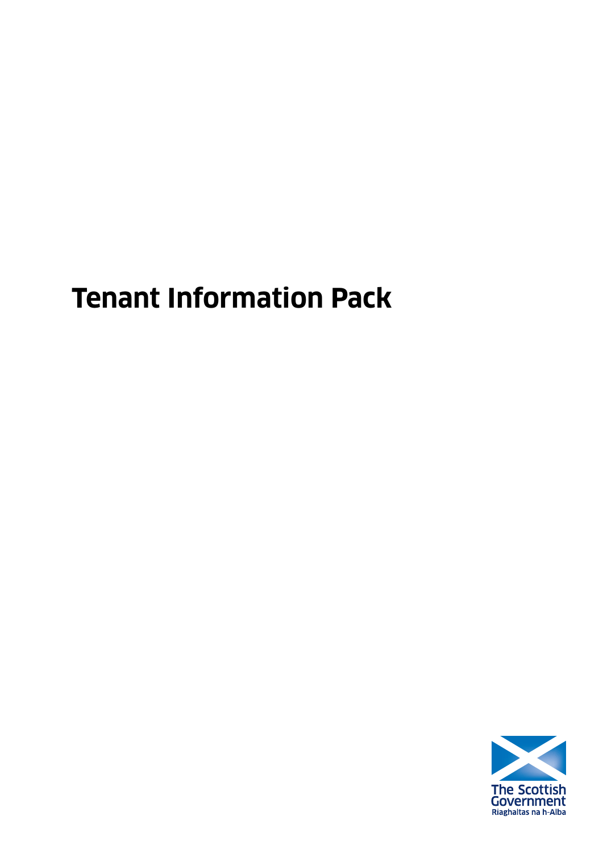# **Tenant Information Pack**

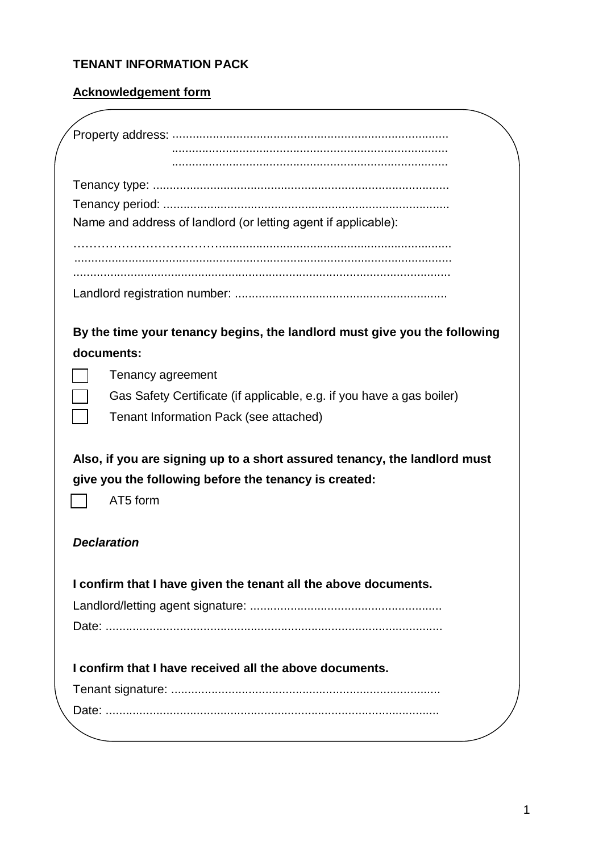# **TENANT INFORMATION PACK**

# **Acknowledgement form**

|                    | Name and address of landlord (or letting agent if applicable):            |
|--------------------|---------------------------------------------------------------------------|
|                    |                                                                           |
|                    |                                                                           |
|                    |                                                                           |
|                    |                                                                           |
|                    |                                                                           |
|                    | By the time your tenancy begins, the landlord must give you the following |
| documents:         |                                                                           |
|                    | Tenancy agreement                                                         |
|                    | Gas Safety Certificate (if applicable, e.g. if you have a gas boiler)     |
|                    | Tenant Information Pack (see attached)                                    |
|                    |                                                                           |
|                    | Also, if you are signing up to a short assured tenancy, the landlord must |
|                    | give you the following before the tenancy is created:                     |
|                    | AT5 form                                                                  |
|                    |                                                                           |
| <b>Declaration</b> |                                                                           |
|                    |                                                                           |
|                    |                                                                           |
|                    | I confirm that I have given the tenant all the above documents.           |
|                    |                                                                           |
|                    |                                                                           |
|                    |                                                                           |
|                    | I confirm that I have received all the above documents.                   |
|                    |                                                                           |
|                    |                                                                           |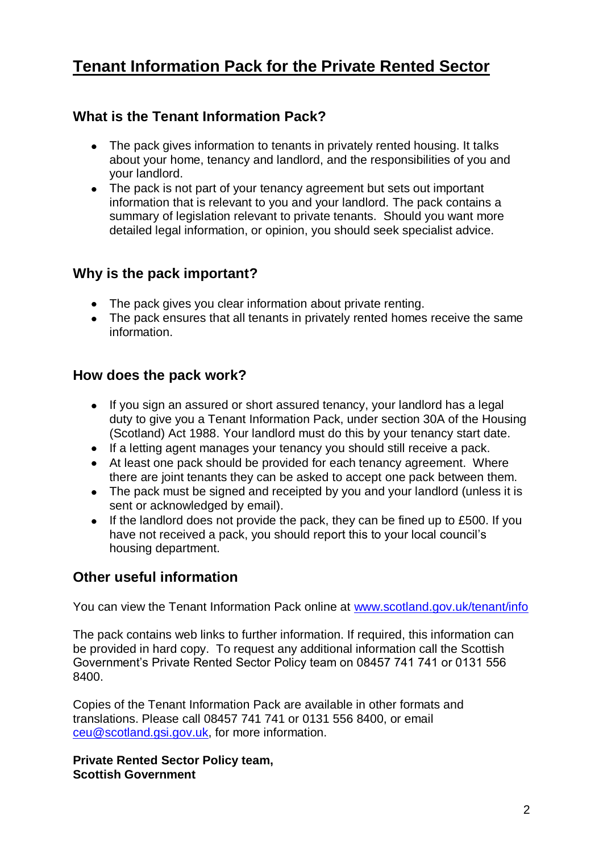# **Tenant Information Pack for the Private Rented Sector**

# **What is the Tenant Information Pack?**

- The pack gives information to tenants in privately rented housing. It talks about your home, tenancy and landlord, and the responsibilities of you and your landlord.
- The pack is not part of your tenancy agreement but sets out important information that is relevant to you and your landlord. The pack contains a summary of legislation relevant to private tenants. Should you want more detailed legal information, or opinion, you should seek specialist advice.

# **Why is the pack important?**

- The pack gives you clear information about private renting.
- The pack ensures that all tenants in privately rented homes receive the same information.

# **How does the pack work?**

- If you sign an assured or short assured tenancy, your landlord has a legal duty to give you a Tenant Information Pack, under section 30A of the Housing (Scotland) Act 1988. Your landlord must do this by your tenancy start date.
- If a letting agent manages your tenancy you should still receive a pack.
- At least one pack should be provided for each tenancy agreement. Where there are joint tenants they can be asked to accept one pack between them.
- The pack must be signed and receipted by you and your landlord (unless it is sent or acknowledged by email).
- If the landlord does not provide the pack, they can be fined up to £500. If you  $\bullet$ have not received a pack, you should report this to your local council's housing department.

# **Other useful information**

You can view the Tenant Information Pack online at www.scotland.gov.uk/tenant/info

The pack contains web links to further information. If required, this information can be provided in hard copy. To request any additional information call the Scottish Government's Private Rented Sector Policy team on 08457 741 741 or 0131 556 8400.

Copies of the Tenant Information Pack are available in other formats and translations. Please call 08457 741 741 or 0131 556 8400, or email [ceu@scotland.gsi.gov.uk,](mailto:ceu@scotland.gsi.gov.uk) for more information.

**Private Rented Sector Policy team, Scottish Government**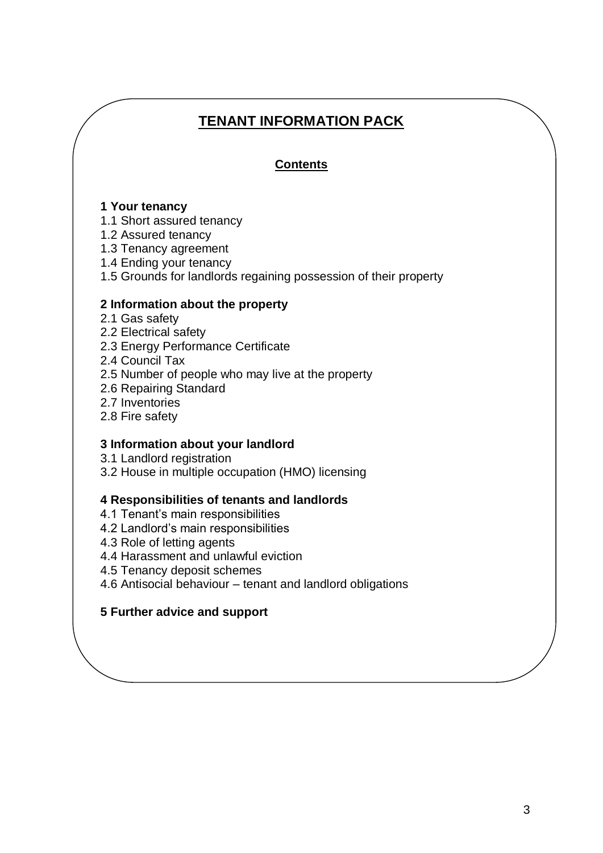# **TENANT INFORMATION PACK**

# **Contents**

### **1 Your tenancy**

- 1.1 Short assured tenancy
- 1.2 Assured tenancy
- 1.3 Tenancy agreement
- 1.4 Ending your tenancy
- 1.5 Grounds for landlords regaining possession of their property

#### **2 Information about the property**

- 2.1 Gas safety
- 2.2 Electrical safety
- 2.3 Energy Performance Certificate
- 2.4 Council Tax
- 2.5 Number of people who may live at the property
- 2.6 Repairing Standard
- 2.7 Inventories
- 2.8 Fire safety

#### **3 Information about your landlord**

- 3.1 Landlord registration
- 3.2 House in multiple occupation (HMO) licensing

### **4 Responsibilities of tenants and landlords**

- 4.1 Tenant's main responsibilities
- 4.2 Landlord's main responsibilities
- 4.3 Role of letting agents
- 4.4 Harassment and unlawful eviction
- 4.5 Tenancy deposit schemes
- 4.6 Antisocial behaviour tenant and landlord obligations

### **5 Further advice and support**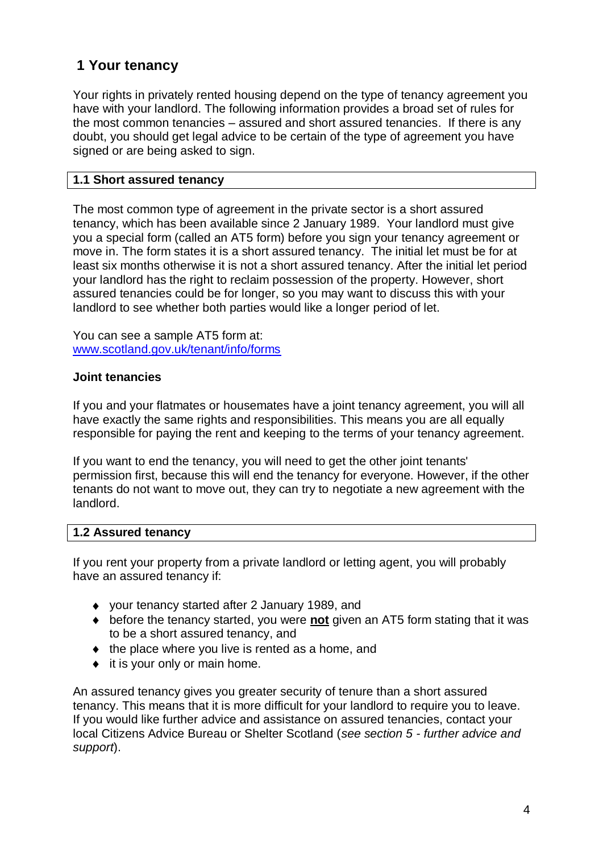# **1 Your tenancy**

Your rights in privately rented housing depend on the type of tenancy agreement you have with your landlord. The following information provides a broad set of rules for the most common tenancies – assured and short assured tenancies. If there is any doubt, you should get legal advice to be certain of the type of agreement you have signed or are being asked to sign.

### **1.1 Short assured tenancy**

The most common type of agreement in the private sector is a short assured tenancy, which has been available since 2 January 1989. Your landlord must give you a special form (called an AT5 form) before you sign your tenancy agreement or move in. The form states it is a short assured tenancy. The initial let must be for at least six months otherwise it is not a short assured tenancy. After the initial let period your landlord has the right to reclaim possession of the property. However, short assured tenancies could be for longer, so you may want to discuss this with your landlord to see whether both parties would like a longer period of let.

You can see a sample AT5 form at: [www.scotland.gov.uk/tenant/info/forms](http://www.scotland.gov.uk/tenant/info/forms)

### **Joint tenancies**

If you and your flatmates or housemates have a joint tenancy agreement, you will all have exactly the same rights and responsibilities. This means you are all equally responsible for paying the rent and keeping to the terms of your tenancy agreement.

If you want to end the tenancy, you will need to get the other joint tenants' permission first, because this will end the tenancy for everyone. However, if the other tenants do not want to move out, they can try to negotiate a new agreement with the landlord.

### **1.2 Assured tenancy**

If you rent your property from a private landlord or letting agent, you will probably have an assured tenancy if:

- your tenancy started after 2 January 1989, and
- before the tenancy started, you were **not** given an AT5 form stating that it was to be a short assured tenancy, and
- $\bullet$  the place where you live is rented as a home, and
- $\bullet$  it is your only or main home.

An assured tenancy gives you greater security of tenure than a short assured tenancy. This means that it is more difficult for your landlord to require you to leave. If you would like further advice and assistance on assured tenancies, contact your local Citizens Advice Bureau or Shelter Scotland (*see section 5 - further advice and support*).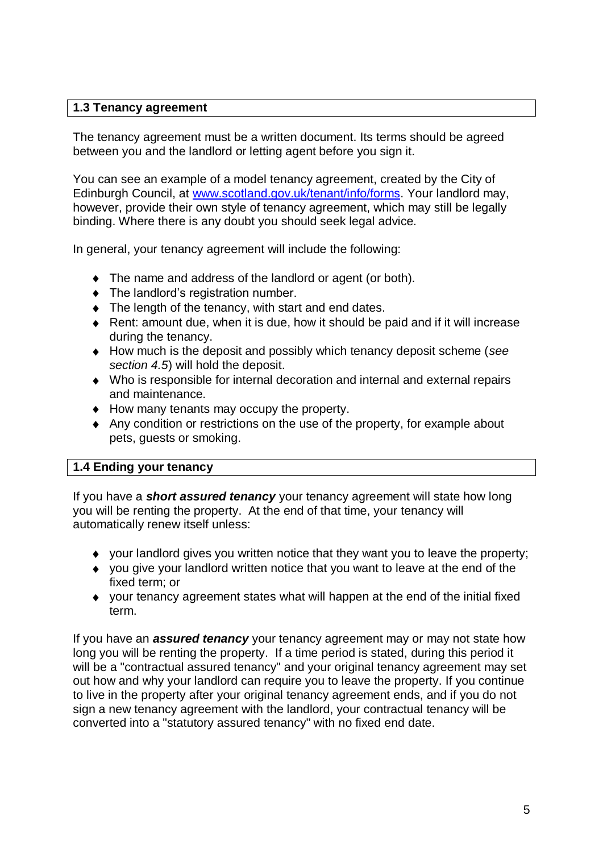### **1.3 Tenancy agreement**

The tenancy agreement must be a written document. Its terms should be agreed between you and the landlord or letting agent before you sign it.

You can see an example of a model tenancy agreement, created by the City of Edinburgh Council, at [www.scotland.gov.uk/tenant/info/forms.](http://www.scotland.gov.uk/tenant/info/forms) Your landlord may, however, provide their own style of tenancy agreement, which may still be legally binding. Where there is any doubt you should seek legal advice.

In general, your tenancy agreement will include the following:

- The name and address of the landlord or agent (or both).
- The landlord's registration number.
- $\bullet$  The length of the tenancy, with start and end dates.
- Rent: amount due, when it is due, how it should be paid and if it will increase during the tenancy.
- How much is the deposit and possibly which tenancy deposit scheme (*see section 4.5*) will hold the deposit.
- Who is responsible for internal decoration and internal and external repairs and maintenance.
- $\triangleleft$  How many tenants may occupy the property.
- Any condition or restrictions on the use of the property, for example about pets, guests or smoking.

### **1.4 Ending your tenancy**

If you have a *short assured tenancy* your tenancy agreement will state how long you will be renting the property. At the end of that time, your tenancy will automatically renew itself unless:

- your landlord gives you written notice that they want you to leave the property;
- $\bullet$  vou give your landlord written notice that you want to leave at the end of the fixed term; or
- $\bullet$  vour tenancy agreement states what will happen at the end of the initial fixed term.

If you have an *assured tenancy* your tenancy agreement may or may not state how long you will be renting the property. If a time period is stated, during this period it will be a "contractual assured tenancy" and your original tenancy agreement may set out how and why your landlord can require you to leave the property. If you continue to live in the property after your original tenancy agreement ends, and if you do not sign a new tenancy agreement with the landlord, your contractual tenancy will be converted into a "statutory assured tenancy" with no fixed end date.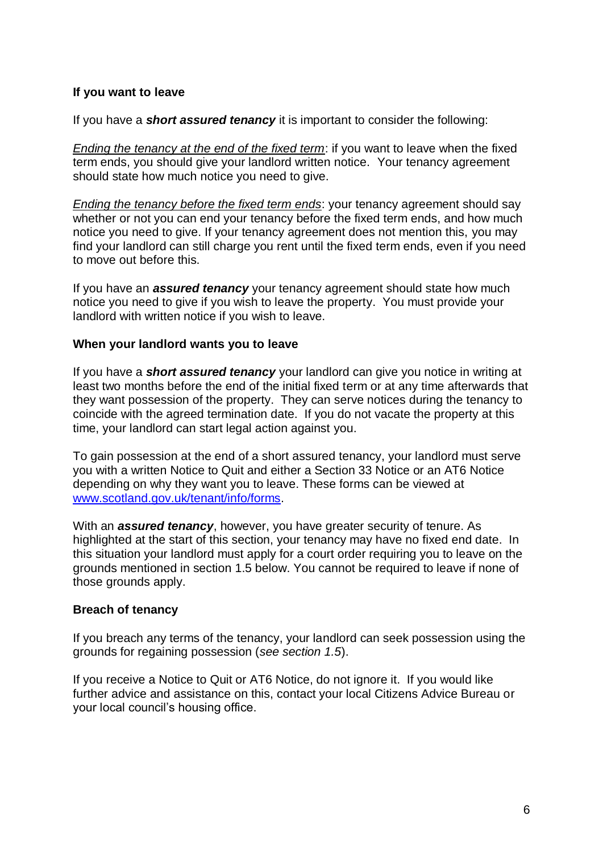# **If you want to leave**

If you have a *short assured tenancy* it is important to consider the following:

*Ending the tenancy at the end of the fixed term*: if you want to leave when the fixed term ends, you should give your landlord written notice. Your tenancy agreement should state how much notice you need to give.

*Ending the tenancy before the fixed term ends*: your tenancy agreement should say whether or not you can end your tenancy before the fixed term ends, and how much notice you need to give. If your tenancy agreement does not mention this, you may find your landlord can still charge you rent until the fixed term ends, even if you need to move out before this.

If you have an *assured tenancy* your tenancy agreement should state how much notice you need to give if you wish to leave the property. You must provide your landlord with written notice if you wish to leave.

#### **When your landlord wants you to leave**

If you have a *short assured tenancy* your landlord can give you notice in writing at least two months before the end of the initial fixed term or at any time afterwards that they want possession of the property. They can serve notices during the tenancy to coincide with the agreed termination date. If you do not vacate the property at this time, your landlord can start legal action against you.

To gain possession at the end of a short assured tenancy, your landlord must serve you with a written Notice to Quit and either a Section 33 Notice or an AT6 Notice depending on why they want you to leave. These forms can be viewed at [www.scotland.gov.uk/tenant/info/forms.](http://www.scotland.gov.uk/tenant/info/forms)

With an *assured tenancy*, however, you have greater security of tenure. As highlighted at the start of this section, your tenancy may have no fixed end date. In this situation your landlord must apply for a court order requiring you to leave on the grounds mentioned in section 1.5 below. You cannot be required to leave if none of those grounds apply.

### **Breach of tenancy**

If you breach any terms of the tenancy, your landlord can seek possession using the grounds for regaining possession (*see section 1.5*).

If you receive a Notice to Quit or AT6 Notice, do not ignore it. If you would like further advice and assistance on this, contact your local Citizens Advice Bureau or your local council's housing office.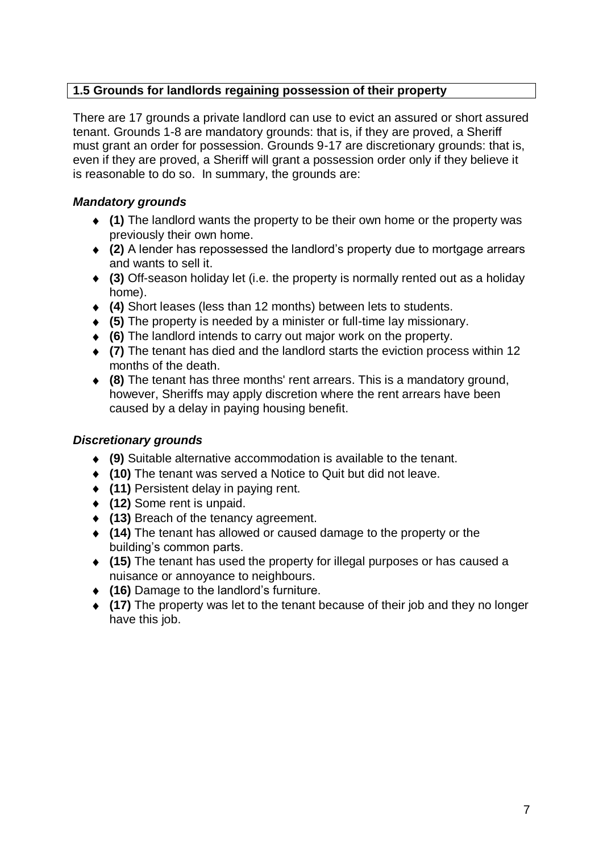# **1.5 Grounds for landlords regaining possession of their property**

There are 17 grounds a private landlord can use to evict an assured or short assured tenant. Grounds 1-8 are mandatory grounds: that is, if they are proved, a Sheriff must grant an order for possession. Grounds 9-17 are discretionary grounds: that is, even if they are proved, a Sheriff will grant a possession order only if they believe it is reasonable to do so. In summary, the grounds are:

# *Mandatory grounds*

- **(1)** The landlord wants the property to be their own home or the property was previously their own home.
- **(2)** A lender has repossessed the landlord's property due to mortgage arrears and wants to sell it.
- **(3)** Off-season holiday let (i.e. the property is normally rented out as a holiday home).
- **(4)** Short leases (less than 12 months) between lets to students.
- **(5)** The property is needed by a minister or full-time lay missionary.
- **(6)** The landlord intends to carry out major work on the property.
- **(7)** The tenant has died and the landlord starts the eviction process within 12 months of the death.
- **(8)** The tenant has three months' rent arrears. This is a mandatory ground, however, Sheriffs may apply discretion where the rent arrears have been caused by a delay in paying housing benefit.

# *Discretionary grounds*

- **(9)** Suitable alternative accommodation is available to the tenant.
- **(10)** The tenant was served a Notice to Quit but did not leave.
- **(11)** Persistent delay in paying rent.
- **(12)** Some rent is unpaid.
- **(13)** Breach of the tenancy agreement.
- **(14)** The tenant has allowed or caused damage to the property or the building's common parts.
- **(15)** The tenant has used the property for illegal purposes or has caused a nuisance or annoyance to neighbours.
- **(16)** Damage to the landlord's furniture.
- **(17)** The property was let to the tenant because of their job and they no longer have this job.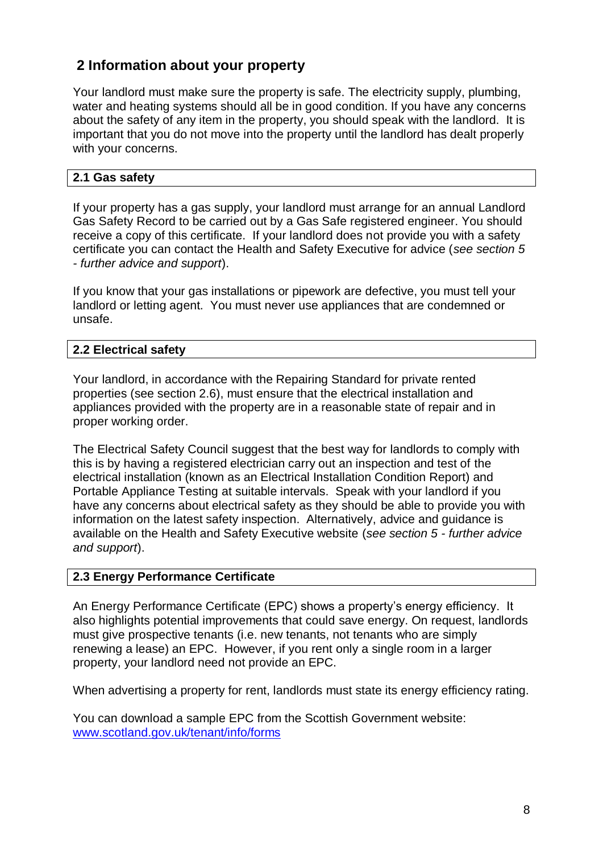# **2 Information about your property**

Your landlord must make sure the property is safe. The electricity supply, plumbing, water and heating systems should all be in good condition. If you have any concerns about the safety of any item in the property, you should speak with the landlord. It is important that you do not move into the property until the landlord has dealt properly with your concerns.

# **2.1 Gas safety**

If your property has a gas supply, your landlord must arrange for an annual Landlord Gas Safety Record to be carried out by a Gas Safe registered engineer. You should receive a copy of this certificate. If your landlord does not provide you with a safety certificate you can contact the Health and Safety Executive for advice (*see section 5 - further advice and support*).

If you know that your gas installations or pipework are defective, you must tell your landlord or letting agent. You must never use appliances that are condemned or unsafe.

# **2.2 Electrical safety**

Your landlord, in accordance with the Repairing Standard for private rented properties (see section 2.6), must ensure that the electrical installation and appliances provided with the property are in a reasonable state of repair and in proper working order.

The Electrical Safety Council suggest that the best way for landlords to comply with this is by having a registered electrician carry out an inspection and test of the electrical installation (known as an Electrical Installation Condition Report) and Portable Appliance Testing at suitable intervals. Speak with your landlord if you have any concerns about electrical safety as they should be able to provide you with information on the latest safety inspection. Alternatively, advice and guidance is available on the Health and Safety Executive website (*see section 5 - further advice and support*).

### **2.3 Energy Performance Certificate**

An Energy Performance Certificate (EPC) shows a property's energy efficiency. It also highlights potential improvements that could save energy. On request, landlords must give prospective tenants (i.e. new tenants, not tenants who are simply renewing a lease) an EPC. However, if you rent only a single room in a larger property, your landlord need not provide an EPC.

When advertising a property for rent, landlords must state its energy efficiency rating.

You can download a sample EPC from the Scottish Government website: [www.scotland.gov.uk/tenant/info/forms](http://www.scotland.gov.uk/tenant/info/forms)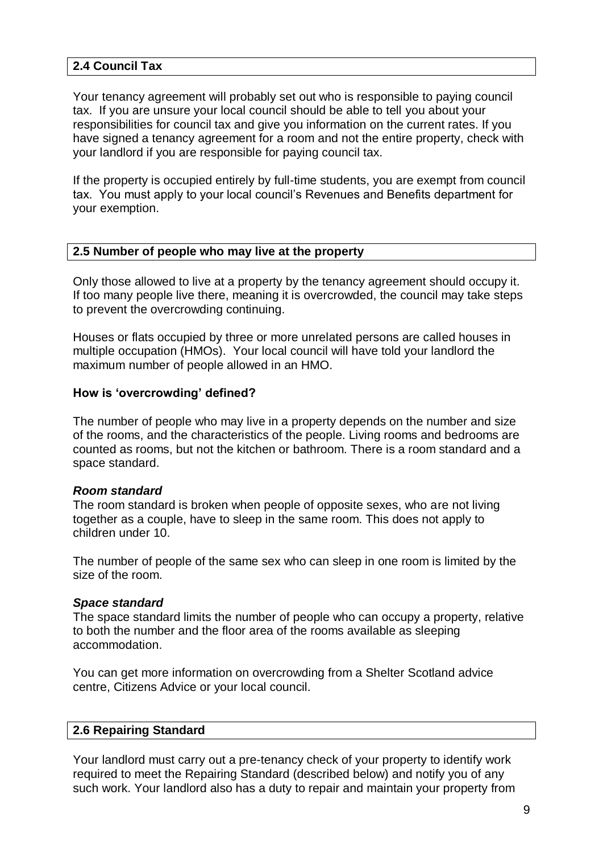### **2.4 Council Tax**

Your tenancy agreement will probably set out who is responsible to paying council tax. If you are unsure your local council should be able to tell you about your responsibilities for council tax and give you information on the current rates. If you have signed a tenancy agreement for a room and not the entire property, check with your landlord if you are responsible for paying council tax.

If the property is occupied entirely by full-time students, you are exempt from council tax. You must apply to your local council's Revenues and Benefits department for your exemption.

#### **2.5 Number of people who may live at the property**

Only those allowed to live at a property by the tenancy agreement should occupy it. If too many people live there, meaning it is overcrowded, the council may take steps to prevent the overcrowding continuing.

Houses or flats occupied by three or more unrelated persons are called houses in multiple occupation (HMOs). Your local council will have told your landlord the maximum number of people allowed in an HMO.

#### **How is 'overcrowding' defined?**

The number of people who may live in a property depends on the number and size of the rooms, and the characteristics of the people. Living rooms and bedrooms are counted as rooms, but not the kitchen or bathroom. There is a room standard and a space standard.

#### *Room standard*

The room standard is broken when people of opposite sexes, who are not living together as a couple, have to sleep in the same room. This does not apply to children under 10.

The number of people of the same sex who can sleep in one room is limited by the size of the room.

#### *Space standard*

The space standard limits the number of people who can occupy a property, relative to both the number and the floor area of the rooms available as sleeping accommodation.

You can get more information on overcrowding from a Shelter Scotland advice centre, Citizens Advice or your local council.

#### **2.6 Repairing Standard**

Your landlord must carry out a pre-tenancy check of your property to identify work required to meet the Repairing Standard (described below) and notify you of any such work. Your landlord also has a duty to repair and maintain your property from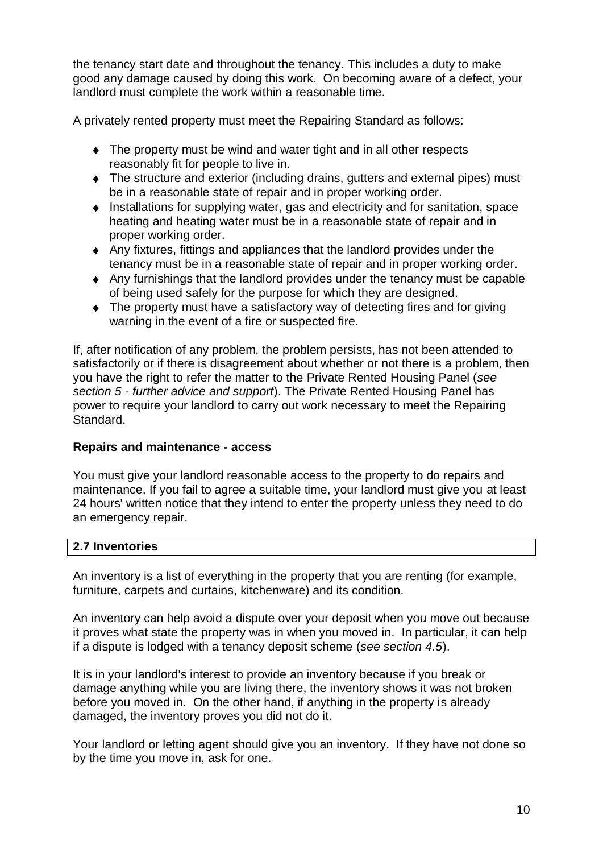the tenancy start date and throughout the tenancy. This includes a duty to make good any damage caused by doing this work. On becoming aware of a defect, your landlord must complete the work within a reasonable time.

A privately rented property must meet the Repairing Standard as follows:

- The property must be wind and water tight and in all other respects reasonably fit for people to live in.
- The structure and exterior (including drains, gutters and external pipes) must be in a reasonable state of repair and in proper working order.
- $\bullet$  Installations for supplying water, gas and electricity and for sanitation, space heating and heating water must be in a reasonable state of repair and in proper working order.
- Any fixtures, fittings and appliances that the landlord provides under the tenancy must be in a reasonable state of repair and in proper working order.
- Any furnishings that the landlord provides under the tenancy must be capable of being used safely for the purpose for which they are designed.
- The property must have a satisfactory way of detecting fires and for giving warning in the event of a fire or suspected fire.

If, after notification of any problem, the problem persists, has not been attended to satisfactorily or if there is disagreement about whether or not there is a problem, then you have the right to refer the matter to the Private Rented Housing Panel (*see section 5 - further advice and support*). The Private Rented Housing Panel has power to require your landlord to carry out work necessary to meet the Repairing Standard.

# **Repairs and maintenance - access**

You must give your landlord reasonable access to the property to do repairs and maintenance. If you fail to agree a suitable time, your landlord must give you at least 24 hours' written notice that they intend to enter the property unless they need to do an emergency repair.

### **2.7 Inventories**

An inventory is a list of everything in the property that you are renting (for example, furniture, carpets and curtains, kitchenware) and its condition.

An inventory can help avoid a dispute over your deposit when you move out because it proves what state the property was in when you moved in. In particular, it can help if a dispute is lodged with a tenancy deposit scheme (*see section 4.5*).

It is in your landlord's interest to provide an inventory because if you break or damage anything while you are living there, the inventory shows it was not broken before you moved in. On the other hand, if anything in the property is already damaged, the inventory proves you did not do it.

Your landlord or letting agent should give you an inventory. If they have not done so by the time you move in, ask for one.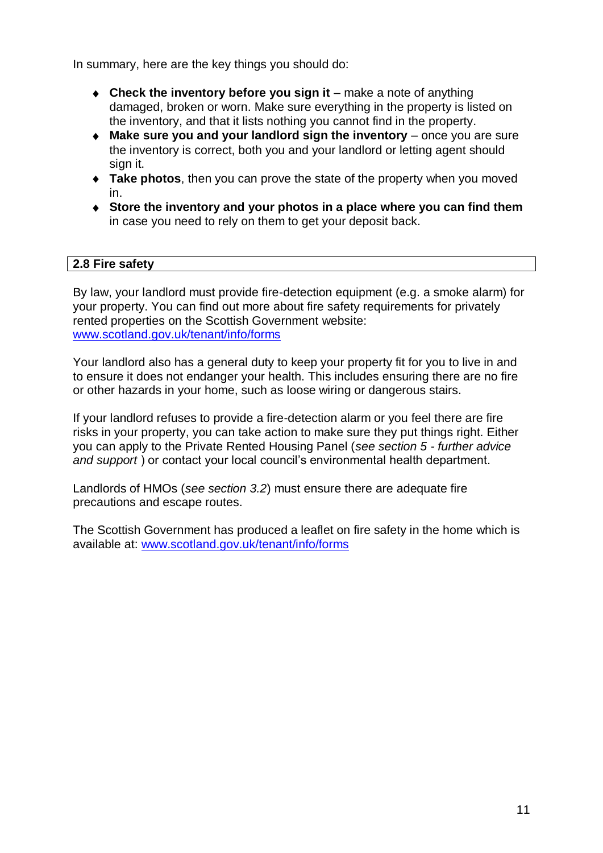In summary, here are the key things you should do:

- ◆ Check the inventory before you sign it make a note of anything damaged, broken or worn. Make sure everything in the property is listed on the inventory, and that it lists nothing you cannot find in the property.
- ◆ Make sure you and your landlord sign the inventory once you are sure the inventory is correct, both you and your landlord or letting agent should sign it.
- **Take photos**, then you can prove the state of the property when you moved in.
- **Store the inventory and your photos in a place where you can find them** in case you need to rely on them to get your deposit back.

### **2.8 Fire safety**

By law, your landlord must provide fire-detection equipment (e.g. a smoke alarm) for your property. You can find out more about fire safety requirements for privately rented properties on the Scottish Government website: [www.scotland.gov.uk/tenant/info/forms](http://www.scotland.gov.uk/tenant/info/forms)

Your landlord also has a general duty to keep your property fit for you to live in and to ensure it does not endanger your health. This includes ensuring there are no fire or other hazards in your home, such as loose wiring or dangerous stairs.

If your landlord refuses to provide a fire-detection alarm or you feel there are fire risks in your property, you can take action to make sure they put things right. Either you can apply to the Private Rented Housing Panel (*see section 5 - further advice and support* ) or contact your local council's environmental health department.

Landlords of HMOs (*see section 3.2*) must ensure there are adequate fire precautions and escape routes.

The Scottish Government has produced a leaflet on fire safety in the home which is available at: [www.scotland.gov.uk/tenant/info/forms](http://www.scotland.gov.uk/tenant/info/forms)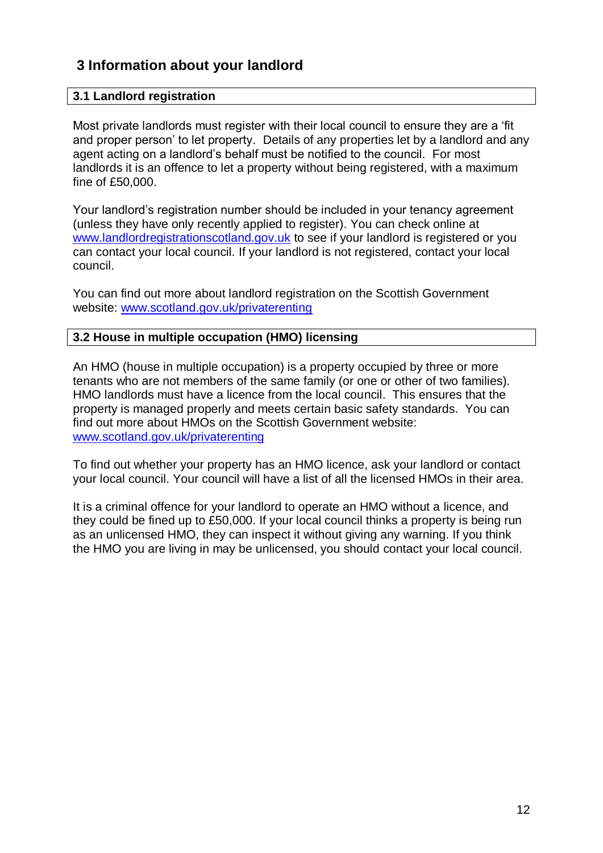# **3 Information about your landlord**

### **3.1 Landlord registration**

Most private landlords must register with their local council to ensure they are a 'fit and proper person' to let property. Details of any properties let by a landlord and any agent acting on a landlord's behalf must be notified to the council. For most landlords it is an offence to let a property without being registered, with a maximum fine of £50,000.

Your landlord's registration number should be included in your tenancy agreement (unless they have only recently applied to register). You can check online at [www.landlordregistrationscotland.gov.uk](http://www.landlordregistrationscotland.gov.uk/) to see if your landlord is registered or you can contact your local council. If your landlord is not registered, contact your local council.

You can find out more about landlord registration on the Scottish Government website: [www.scotland.gov.uk/privaterenting](http://www.scotland.gov.uk/privaterenting) 

### **3.2 House in multiple occupation (HMO) licensing**

An HMO (house in multiple occupation) is a property occupied by three or more tenants who are not members of the same family (or one or other of two families). HMO landlords must have a licence from the local council. This ensures that the property is managed properly and meets certain basic safety standards. You can find out more about HMOs on the Scottish Government website: [www.scotland.gov.uk/privaterenting](http://www.scotland.gov.uk/privaterenting) 

To find out whether your property has an HMO licence, ask your landlord or contact your local council. Your council will have a list of all the licensed HMOs in their area.

It is a criminal offence for your landlord to operate an HMO without a licence, and they could be fined up to £50,000. If your local council thinks a property is being run as an unlicensed HMO, they can inspect it without giving any warning. If you think the HMO you are living in may be unlicensed, you should contact your local council.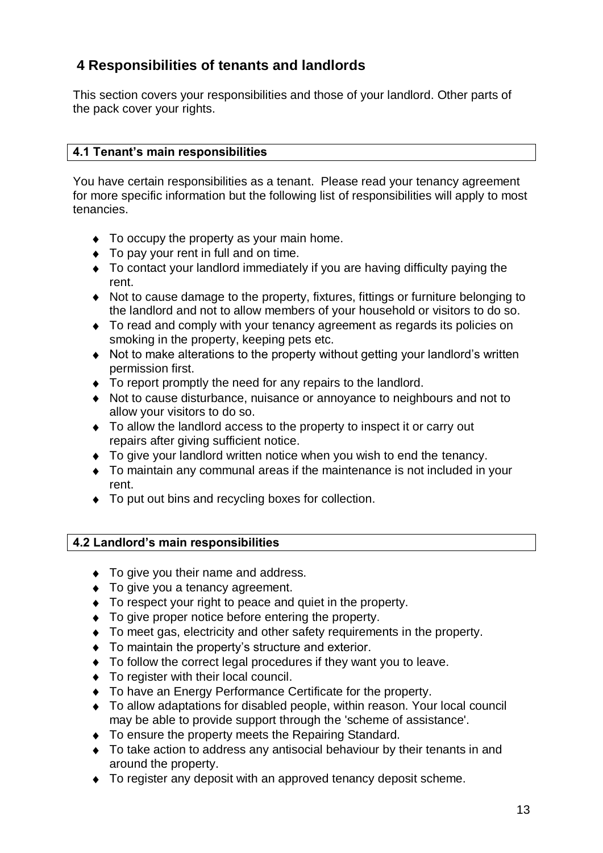# **4 Responsibilities of tenants and landlords**

This section covers your responsibilities and those of your landlord. Other parts of the pack cover your rights.

# **4.1 Tenant's main responsibilities**

You have certain responsibilities as a tenant. Please read your tenancy agreement for more specific information but the following list of responsibilities will apply to most tenancies.

- $\bullet$  To occupy the property as your main home.
- $\bullet$  To pay your rent in full and on time.
- To contact your landlord immediately if you are having difficulty paying the rent.
- Not to cause damage to the property, fixtures, fittings or furniture belonging to the landlord and not to allow members of your household or visitors to do so.
- $\bullet$  To read and comply with your tenancy agreement as regards its policies on smoking in the property, keeping pets etc.
- Not to make alterations to the property without getting your landlord's written permission first.
- $\bullet$  To report promptly the need for any repairs to the landlord.
- Not to cause disturbance, nuisance or annoyance to neighbours and not to allow your visitors to do so.
- To allow the landlord access to the property to inspect it or carry out repairs after giving sufficient notice.
- To give your landlord written notice when you wish to end the tenancy.
- To maintain any communal areas if the maintenance is not included in your rent.
- $\bullet$  To put out bins and recycling boxes for collection.

# **4.2 Landlord's main responsibilities**

- $\bullet$  To give you their name and address.
- ◆ To give you a tenancy agreement.
- $\bullet$  To respect your right to peace and quiet in the property.
- $\bullet$  To give proper notice before entering the property.
- $\bullet$  To meet gas, electricity and other safety requirements in the property.
- To maintain the property's structure and exterior.
- $\bullet$  To follow the correct legal procedures if they want you to leave.
- $\bullet$  To register with their local council.
- To have an Energy Performance Certificate for the property.
- To allow adaptations for disabled people, within reason. Your local council may be able to provide support through the 'scheme of assistance'.
- $\bullet$  To ensure the property meets the Repairing Standard.
- ◆ To take action to address any antisocial behaviour by their tenants in and around the property.
- $\bullet$  To register any deposit with an approved tenancy deposit scheme.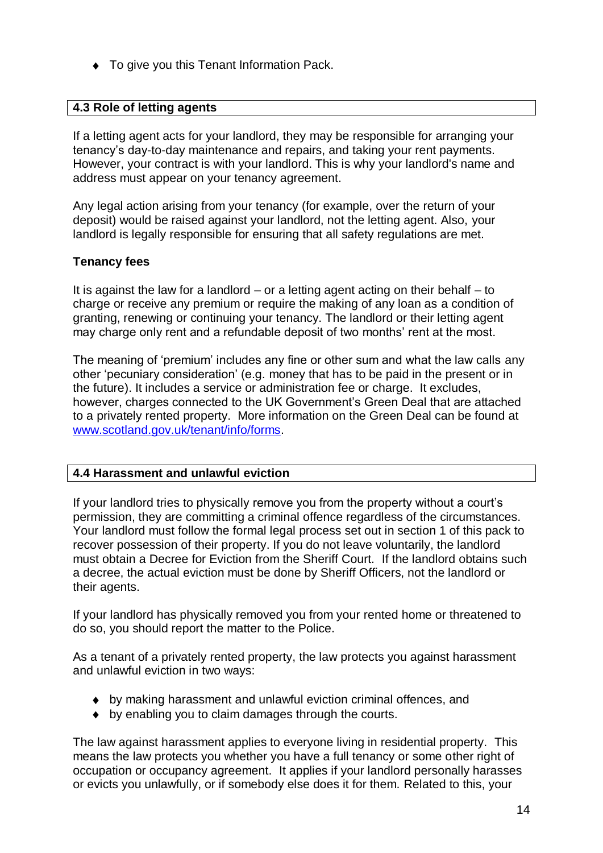◆ To give you this Tenant Information Pack.

### **4.3 Role of letting agents**

If a letting agent acts for your landlord, they may be responsible for arranging your tenancy's day-to-day maintenance and repairs, and taking your rent payments. However, your contract is with your landlord. This is why your landlord's name and address must appear on your tenancy agreement.

Any legal action arising from your tenancy (for example, over the return of your deposit) would be raised against your landlord, not the letting agent. Also, your landlord is legally responsible for ensuring that all safety regulations are met.

# **Tenancy fees**

It is against the law for a landlord – or a letting agent acting on their behalf – to charge or receive any premium or require the making of any loan as a condition of granting, renewing or continuing your tenancy. The landlord or their letting agent may charge only rent and a refundable deposit of two months' rent at the most.

The meaning of 'premium' includes any fine or other sum and what the law calls any other 'pecuniary consideration' (e.g. money that has to be paid in the present or in the future). It includes a service or administration fee or charge. It excludes, however, charges connected to the UK Government's Green Deal that are attached to a privately rented property. More information on the Green Deal can be found at [www.scotland.gov.uk/tenant/info/forms.](http://www.scotland.gov.uk/tenant/info/forms)

### **4.4 Harassment and unlawful eviction**

If your landlord tries to physically remove you from the property without a court's permission, they are committing a criminal offence regardless of the circumstances. Your landlord must follow the formal legal process set out in section 1 of this pack to recover possession of their property. If you do not leave voluntarily, the landlord must obtain a Decree for Eviction from the Sheriff Court. If the landlord obtains such a decree, the actual eviction must be done by Sheriff Officers, not the landlord or their agents.

If your landlord has physically removed you from your rented home or threatened to do so, you should report the matter to the Police.

As a tenant of a privately rented property, the law protects you against harassment and unlawful eviction in two ways:

- by making harassment and unlawful eviction criminal offences, and
- by enabling you to claim damages through the courts.

The law against harassment applies to everyone living in residential property. This means the law protects you whether you have a full tenancy or some other right of occupation or occupancy agreement. It applies if your landlord personally harasses or evicts you unlawfully, or if somebody else does it for them. Related to this, your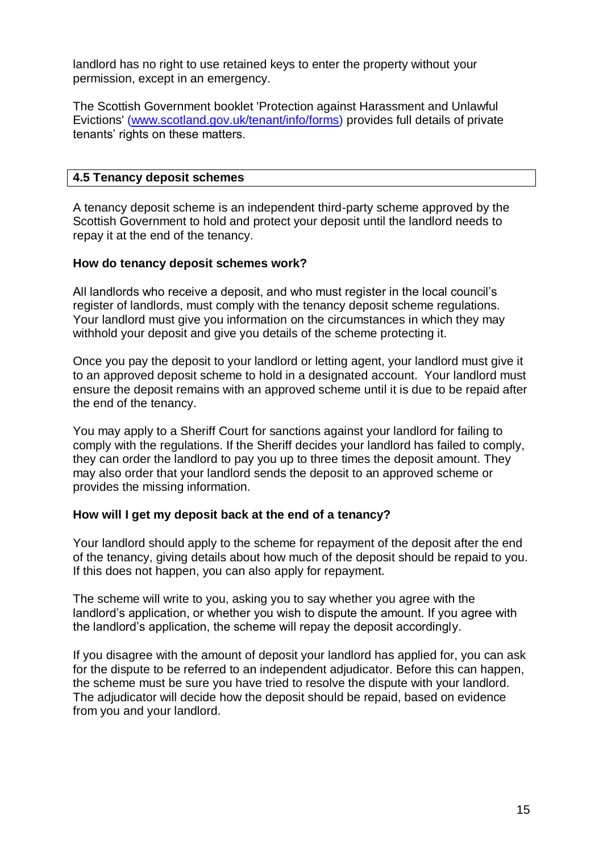landlord has no right to use retained keys to enter the property without your permission, except in an emergency.

The Scottish Government booklet 'Protection against Harassment and Unlawful Evictions' [\(www.scotland.gov.uk/tenant/info/forms\)](http://www.scotland.gov.uk/tenant/info/forms) provides full details of private tenants' rights on these matters.

### **4.5 Tenancy deposit schemes**

A tenancy deposit scheme is an independent third-party scheme approved by the Scottish Government to hold and protect your deposit until the landlord needs to repay it at the end of the tenancy.

### **How do tenancy deposit schemes work?**

All landlords who receive a deposit, and who must register in the local council's register of landlords, must comply with the tenancy deposit scheme regulations. Your landlord must give you information on the circumstances in which they may withhold your deposit and give you details of the scheme protecting it.

Once you pay the deposit to your landlord or letting agent, your landlord must give it to an approved deposit scheme to hold in a designated account. Your landlord must ensure the deposit remains with an approved scheme until it is due to be repaid after the end of the tenancy.

You may apply to a Sheriff Court for sanctions against your landlord for failing to comply with the regulations. If the Sheriff decides your landlord has failed to comply, they can order the landlord to pay you up to three times the deposit amount. They may also order that your landlord sends the deposit to an approved scheme or provides the missing information.

### **How will I get my deposit back at the end of a tenancy?**

Your landlord should apply to the scheme for repayment of the deposit after the end of the tenancy, giving details about how much of the deposit should be repaid to you. If this does not happen, you can also apply for repayment.

The scheme will write to you, asking you to say whether you agree with the landlord's application, or whether you wish to dispute the amount. If you agree with the landlord's application, the scheme will repay the deposit accordingly.

If you disagree with the amount of deposit your landlord has applied for, you can ask for the dispute to be referred to an independent adjudicator. Before this can happen, the scheme must be sure you have tried to resolve the dispute with your landlord. The adjudicator will decide how the deposit should be repaid, based on evidence from you and your landlord.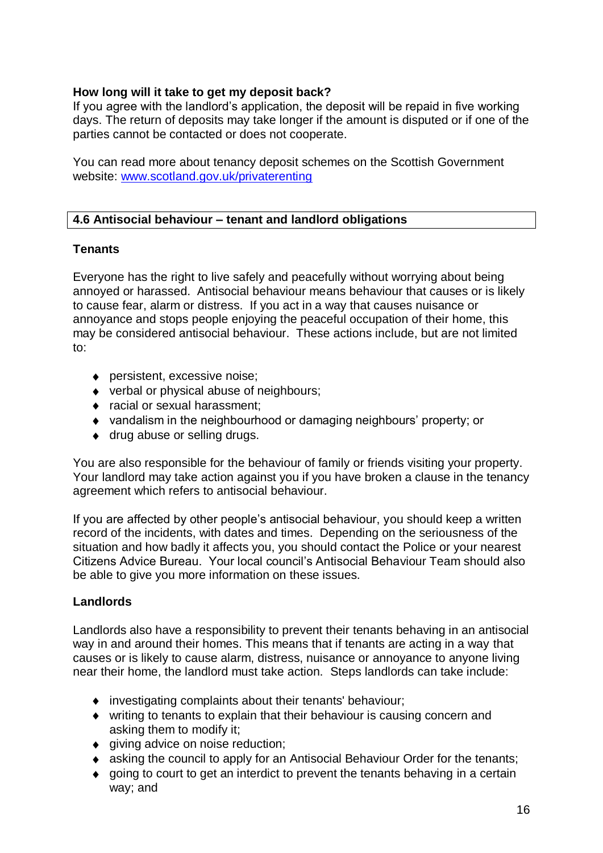# **How long will it take to get my deposit back?**

If you agree with the landlord's application, the deposit will be repaid in five working days. The return of deposits may take longer if the amount is disputed or if one of the parties cannot be contacted or does not cooperate.

You can read more about tenancy deposit schemes on the Scottish Government website: [www.scotland.gov.uk/privaterenting](http://www.scotland.gov.uk/privaterenting) 

# **4.6 Antisocial behaviour – tenant and landlord obligations**

### **Tenants**

Everyone has the right to live safely and peacefully without worrying about being annoyed or harassed. Antisocial behaviour means behaviour that causes or is likely to cause fear, alarm or distress. If you act in a way that causes nuisance or annoyance and stops people enjoying the peaceful occupation of their home, this may be considered antisocial behaviour. These actions include, but are not limited to:

- ◆ persistent, excessive noise;
- ◆ verbal or physical abuse of neighbours;
- ◆ racial or sexual harassment:
- vandalism in the neighbourhood or damaging neighbours' property; or
- ◆ drug abuse or selling drugs.

You are also responsible for the behaviour of family or friends visiting your property. Your landlord may take action against you if you have broken a clause in the tenancy agreement which refers to antisocial behaviour.

If you are affected by other people's antisocial behaviour, you should keep a written record of the incidents, with dates and times. Depending on the seriousness of the situation and how badly it affects you, you should contact the Police or your nearest Citizens Advice Bureau. Your local council's Antisocial Behaviour Team should also be able to give you more information on these issues.

# **Landlords**

Landlords also have a responsibility to prevent their tenants behaving in an antisocial way in and around their homes. This means that if tenants are acting in a way that causes or is likely to cause alarm, distress, nuisance or annoyance to anyone living near their home, the landlord must take action. Steps landlords can take include:

- investigating complaints about their tenants' behaviour;
- writing to tenants to explain that their behaviour is causing concern and asking them to modify it;
- ◆ giving advice on noise reduction;
- asking the council to apply for an Antisocial Behaviour Order for the tenants;
- $\bullet$  going to court to get an interdict to prevent the tenants behaving in a certain way; and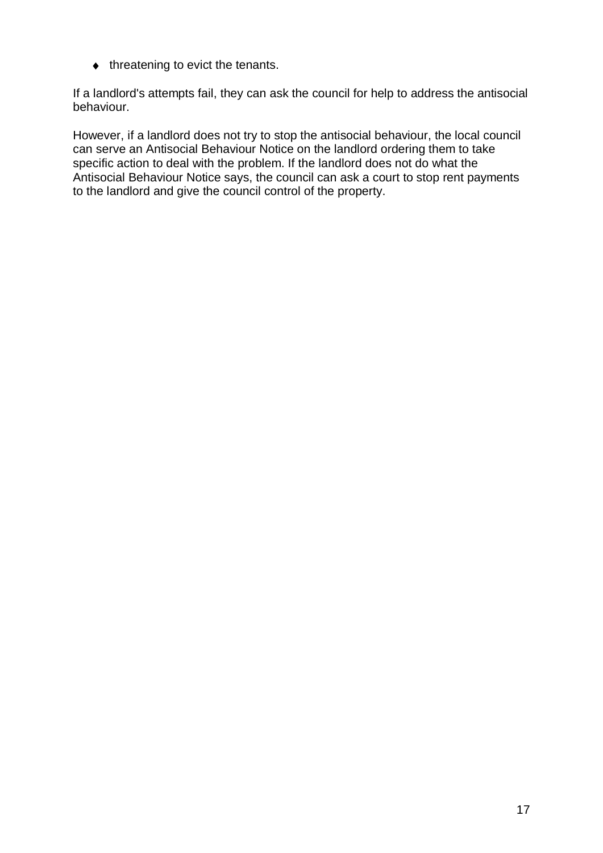$\bullet$  threatening to evict the tenants.

If a landlord's attempts fail, they can ask the council for help to address the antisocial behaviour.

However, if a landlord does not try to stop the antisocial behaviour, the local council can serve an Antisocial Behaviour Notice on the landlord ordering them to take specific action to deal with the problem. If the landlord does not do what the Antisocial Behaviour Notice says, the council can ask a court to stop rent payments to the landlord and give the council control of the property.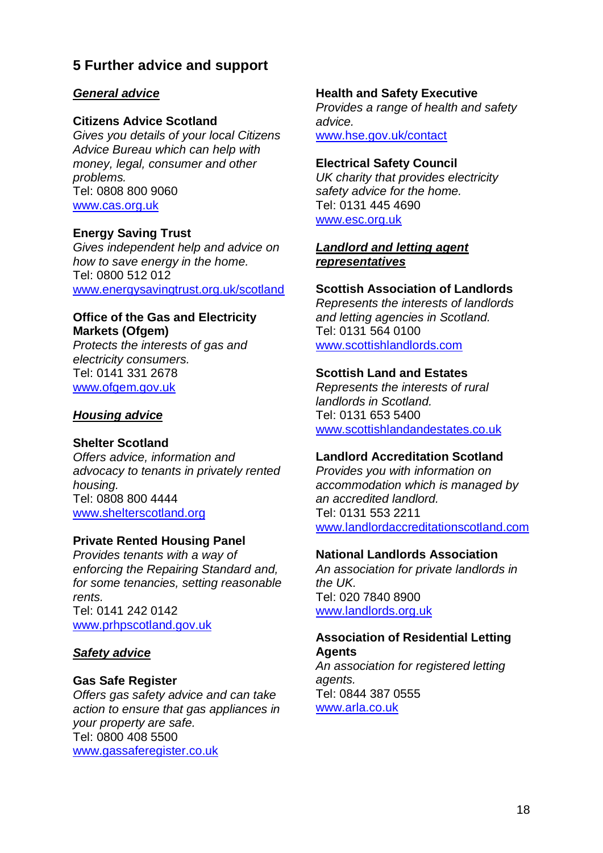# **5 Further advice and support**

### *General advice*

### **Citizens Advice Scotland**

*Gives you details of your local Citizens Advice Bureau which can help with money, legal, consumer and other problems.* Tel: 0808 800 9060 [www.cas.org.uk](http://www.cas.org.uk/)

### **Energy Saving Trust**

*Gives independent help and advice on how to save energy in the home.* Tel: 0800 512 012 [www.energysavingtrust.org.uk/scotland](http://www.energysavingtrust.org.uk/scotland)

#### **Office of the Gas and Electricity Markets (Ofgem)**

*Protects the interests of gas and electricity consumers.* Tel: 0141 331 2678 [www.ofgem.gov.uk](http://www.ofgem.gov.uk/)

### *Housing advice*

### **Shelter Scotland**

*Offers advice, information and advocacy to tenants in privately rented housing.* Tel: 0808 800 4444 [www.shelterscotland.org](http://www.shelterscotland.org/)

### **Private Rented Housing Panel**

*Provides tenants with a way of enforcing the Repairing Standard and, for some tenancies, setting reasonable rents.*  Tel: 0141 242 0142 [www.prhpscotland.gov.uk](http://scotland.shelter.org.uk/get_advice/advice_topics/repairs_and_bad_conditions/repairs_in_private_rented_accommodation/the_private_rented_housing_panel_prhp/?a=27702)

### *Safety advice*

### **Gas Safe Register**

*Offers gas safety advice and can take action to ensure that gas appliances in your property are safe.* Tel: 0800 408 5500 [www.gassaferegister.co.uk](http://www.gassaferegister.co.uk/)

### **Health and Safety Executive**

*Provides a range of health and safety advice.*  [www.hse.gov.uk/contact](http://www.hse.gov.uk/contact/)

### **Electrical Safety Council**

*UK charity that provides electricity safety advice for the home.* Tel: 0131 445 4690 [www.esc.org.uk](http://www.esc.org.uk/)

### *Landlord and letting agent representatives*

### **Scottish Association of Landlords**

*Represents the interests of landlords and letting agencies in Scotland.*  Tel: 0131 564 0100 [www.scottishlandlords.com](http://scotland.shelter.org.uk/get_advice/information_for_landlords/?a=26653)

#### **Scottish Land and Estates**

*Represents the interests of rural landlords in Scotland.*  Tel: 0131 653 5400 [www.scottishlandandestates.co.uk](http://www.scottishlandandestates.co.uk/)

### **Landlord Accreditation Scotland**

*Provides you with information on accommodation which is managed by an accredited landlord.* Tel: 0131 553 2211 [www.landlordaccreditationscotland.com](http://www.landlordaccreditationscotland.com/)

### **National Landlords Association**

*An association for private landlords in the UK.* Tel: 020 7840 8900 [www.landlords.org.uk](http://www.landlords.org.uk/)

#### **Association of Residential Letting Agents**

*An association for registered letting agents.*  Tel: 0844 387 0555 [www.arla.co.uk](http://www.arla.co.uk/)